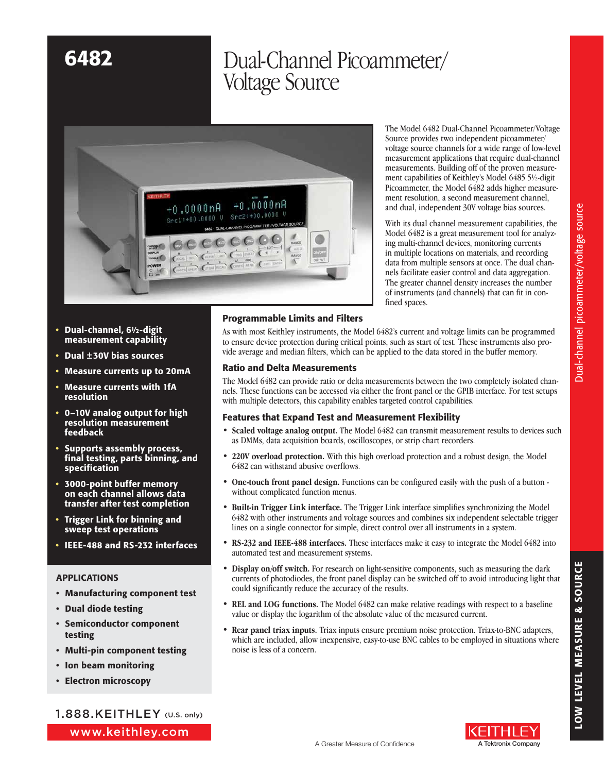# 6482 Dual-Channel Picoammeter/ Voltage Source



The Model 6482 Dual-Channel Picoammeter/Voltage Source provides two independent picoammeter/ voltage source channels for a wide range of low-level measurement applications that require dual-channel measurements. Building off of the proven measurement capabilities of Keithley's Model 6485 5½-digit Picoammeter, the Model 6482 adds higher measurement resolution, a second measurement channel, and dual, independent 30V voltage bias sources.

With its dual channel measurement capabilities, the Model 6482 is a great measurement tool for analyzing multi-channel devices, monitoring currents in multiple locations on materials, and recording data from multiple sensors at once. The dual channels facilitate easier control and data aggregation. The greater channel density increases the number of instruments (and channels) that can fit in confined spaces.

- Dual-channel, 61/2-digit measurement capability
- • Dual ±30V bias sources
- Measure currents up to 20mA
- **Measure currents with 1fA** resolution
- • 0–10V analog output for high resolution measurement feedback
- Supports assembly process, final testing, parts binning, and specification
- • 3000-point buffer memory on each channel allows data transfer after test completion
- • Trigger Link for binning and sweep test operations
- • IEEE-488 and RS-232 interfaces

### APPLICATIONS

- • Manufacturing component test
- • Dual diode testing
- • Semiconductor component testing
- • Multi-pin component testing
- • Ion beam monitoring
- • Electron microscopy

www.keithley.com 1.888.KEITHLEY (U.S. only)

### Programmable Limits and Filters

As with most Keithley instruments, the Model 6482's current and voltage limits can be programmed to ensure device protection during critical points, such as start of test. These instruments also provide average and median filters, which can be applied to the data stored in the buffer memory.

### Ratio and Delta Measurements

The Model 6482 can provide ratio or delta measurements between the two completely isolated channels. These functions can be accessed via either the front panel or the GPIB interface. For test setups with multiple detectors, this capability enables targeted control capabilities.

### Features that Expand Test and Measurement Flexibility

- **Scaled voltage analog output.** The Model 6482 can transmit measurement results to devices such as DMMs, data acquisition boards, oscilloscopes, or strip chart recorders.
- • **220V overload protection.** With this high overload protection and a robust design, the Model 6482 can withstand abusive overflows.
- • **One-touch front panel design.** Functions can be configured easily with the push of a button without complicated function menus.
- **Built-in Trigger Link interface.** The Trigger Link interface simplifies synchronizing the Model 6482 with other instruments and voltage sources and combines six independent selectable trigger lines on a single connector for simple, direct control over all instruments in a system.
- • **RS-232 and IEEE-488 interfaces.** These interfaces make it easy to integrate the Model 6482 into automated test and measurement systems.
- Display on/off switch. For research on light-sensitive components, such as measuring the dark currents of photodiodes, the front panel display can be switched off to avoid introducing light that could significantly reduce the accuracy of the results.
- • **REL and LOG functions.** The Model 6482 can make relative readings with respect to a baseline value or display the logarithm of the absolute value of the measured current.
- **Rear panel triax inputs.** Triax inputs ensure premium noise protection. Triax-to-BNC adapters, which are included, allow inexpensive, easy-to-use BNC cables to be employed in situations where noise is less of a concern.



(FITHLI

LOW LEVEL MEASURE & SOURCE

LOW LEVEL MEASURE & SOURCE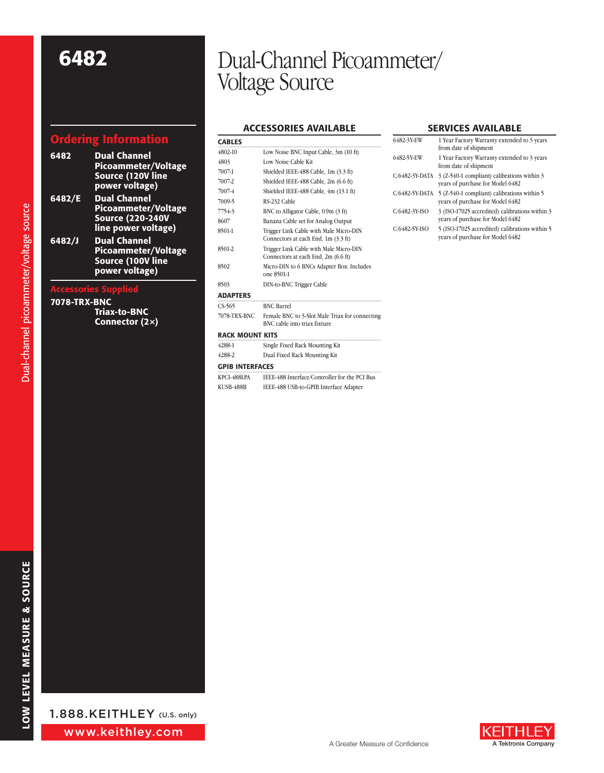## Ordering Information

| 6482                        | <b>Dual Channel</b><br><b>Picoammeter/Voltage</b><br>Source (120V line<br>power voltage)        |  |
|-----------------------------|-------------------------------------------------------------------------------------------------|--|
| 6482/E                      | <b>Dual Channel</b><br>Picoammeter/Voltage<br><b>Source (220-240V</b><br>line power voltage)    |  |
| 6482/J                      | <b>Dual Channel</b><br><b>Picoammeter/Voltage</b><br><b>Source (100V line</b><br>power voltage) |  |
| <b>Accessories Supplied</b> |                                                                                                 |  |

### 7078-TRX-BNC

Triax-to-BNC Connector (2×)

# 6482 Dual-Channel Picoammeter/ Voltage Source

### Accessories Available

| <b>CABLES</b>          |                                                                                |  |
|------------------------|--------------------------------------------------------------------------------|--|
| 4802-10                | Low Noise BNC Input Cable, 3m (10 ft)                                          |  |
| 4803                   | Low Noise Cable Kit                                                            |  |
| 7007-1                 | Shielded IEEE-488 Cable, 1m (3.3 ft)                                           |  |
| 7007-2                 | Shielded IEEE-488 Cable, 2m (6.6 ft)                                           |  |
| 7007-4                 | Shielded IEEE-488 Cable, 4m (13.1 ft)                                          |  |
| 7009-5                 | RS-232 Cable                                                                   |  |
| 7754-3                 | BNC to Alligator Cable, 0.9m (3 ft)                                            |  |
| 8607                   | Banana Cable set for Analog Output                                             |  |
| 8501-1                 | Trigger Link Cable with Male Micro-DIN<br>Connectors at each End, 1m (3.3 ft)  |  |
| 8501-2                 | Trigger Link Cable with Male Micro-DIN<br>Connectors at each End, 2m (6.6 ft)  |  |
| 8502                   | Micro-DIN to 6 BNCs Adapter Box. Includes<br>one 8501-1                        |  |
| 8503                   | DIN-to-BNC Trigger Cable                                                       |  |
| <b>ADAPTERS</b>        |                                                                                |  |
| $CS-565$               | <b>BNC Barrel</b>                                                              |  |
| 7078-TRX-BNC           | Female BNC to 3-Slot Male Triax for connecting<br>BNC cable into triax fixture |  |
| <b>RACK MOUNT KITS</b> |                                                                                |  |
| 4288-1                 | Single Fixed Rack Mounting Kit                                                 |  |
| 4288-2                 | Dual Fixed Rack Mounting Kit                                                   |  |
| <b>GPIB INTERFACES</b> |                                                                                |  |
| KPCI-488LPA            | IEEE-488 Interface/Controller for the PCI Bus                                  |  |
| KUSB-488B              | IEEE-488 USB-to-GPIB Interface Adapter                                         |  |

### Services Available

| 6482-3Y-EW     | 1 Year Factory Warranty extended to 3 years<br>from date of shipment               |
|----------------|------------------------------------------------------------------------------------|
| 6482-5Y-EW     | 1 Year Factory Warranty extended to 3 years<br>from date of shipment               |
| C/6482-3Y-DATA | 3 (Z-540-1 compliant) calibrations within 3<br>vears of purchase for Model 6482    |
| C/6482-5Y-DATA | 5 (Z-540-1 compliant) calibrations within 5<br>vears of purchase for Model 6482    |
| C/6482-3Y-ISO  | 3 (ISO-17025 accredited) calibrations within 3<br>vears of purchase for Model 6482 |
| C/6482-5Y-ISO  | 5 (ISO-17025 accredited) calibrations within 5<br>vears of purchase for Model 6482 |



Dual-channel picoammeter/voltage source Dual-channel picoammeter/voltage source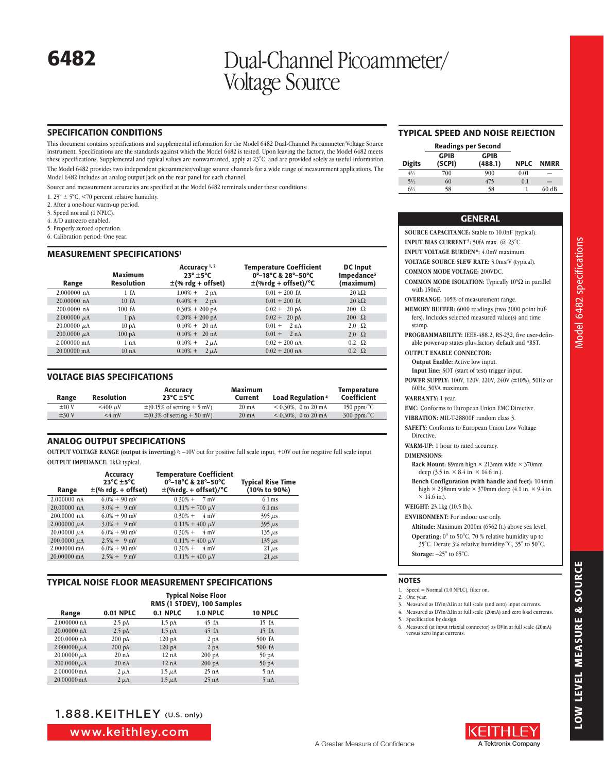## 6482 Dual-Channel Picoammeter/ Voltage Source

### Specification Conditions

This document contains specifications and supplemental information for the Model 6482 Dual-Channel Picoammeter/Voltage Source instrument. Specifications are the standards against which the Model 6482 is tested. Upon leaving the factory, the Model 6482 meets these specifications. Supplemental and typical values are nonwarranted, apply at 23°C, and are provided solely as useful information.

The Model 6482 provides two independent picoammeter/voltage source channels for a wide range of measurement applications. The Model 6482 includes an analog output jack on the rear panel for each channel.

Source and measurement accuracies are specified at the Model 6482 terminals under these conditions:

- 1. 23°  $\pm$  5°C, <70 percent relative humidity.
- 2. After a one-hour warm-up period.
- 3. Speed normal (1 NPLC).
- 4. A/D autozero enabled.
- 5. Properly zeroed operation.
- 6. Calibration period: One year.

### Measurement SPECIFICATIONS1

| Range                 | Maximum<br><b>Resolution</b> | Accuracy <sup>1,2</sup><br>$23^\circ \pm 5^\circ C$<br>$\pm$ (% rdg + offset) | <b>Temperature Coefficient</b><br>0°-18°C & 28°-50°C<br>$\pm$ (%rdg + offset)/°C | <b>DC</b> Input<br>Impedance <sup>3</sup><br>(maximum) |
|-----------------------|------------------------------|-------------------------------------------------------------------------------|----------------------------------------------------------------------------------|--------------------------------------------------------|
| 2.000000 nA           | $1-fA$                       | $1.00\% +$<br>2pA                                                             | $0.01 + 200$ fA                                                                  | $20 \text{ k}\Omega$                                   |
| $20.00000$ nA         | 10 fA                        | $0.40% +$<br>2pA                                                              | $0.01 + 200$ fA                                                                  | $20 \text{ k}\Omega$                                   |
| 200.0000 nA           | 100fA                        | $0.30\% + 200 \text{ pA}$                                                     | $0.02 + 20 \text{ pA}$                                                           | $200 \Omega$                                           |
| $2.000000 \mu A$      | 1 <sub>pA</sub>              | $0.20\% + 200 \text{ pA}$                                                     | $0.02 + 20 \text{ pA}$                                                           | $200 \Omega$                                           |
| $20.00000 \mu A$      | 10 <sub>pA</sub>             | $0.10\% + 20 \space$ nA                                                       | $0.01 + 2 nA$                                                                    | $2.0 \Omega$                                           |
| $200.0000 \mu A$      | $100\text{ pA}$              | $0.10\% + 20 \text{ nA}$                                                      | 2nA<br>$0.01 +$                                                                  | $2.0 \Omega$                                           |
| $2.000000 \text{ mA}$ | 1 nA                         | $0.10% +$<br>$2 \mu A$                                                        | $0.02 + 200$ nA                                                                  | $0.2 \Omega$                                           |
| $20.00000 \text{ mA}$ | 10 <sub>nA</sub>             | $0.10% +$<br>$2 \mu A$                                                        | $0.02 + 200$ nA                                                                  | $0.2 \Omega$                                           |

### Voltage Bias Specifications

| Range      | <b>Resolution</b> | Accuracy<br>$23^{\circ}$ C $\pm$ 5 $^{\circ}$ C  | Maximum<br>Current | <b>Load Regulation 4</b> | Temperature<br>Coefficient       |
|------------|-------------------|--------------------------------------------------|--------------------|--------------------------|----------------------------------|
| ±10V       | $< 400 \mu V$     | $\pm (0.15\% \text{ of setting} + 5 \text{ mV})$ | $20 \text{ mA}$    | $0.30\%$ , 0 to 20 mA    | 150 ppm/ $\mathrm{C}$            |
| $\pm 30$ V | $<$ 4 mV          | $\pm$ (0.3% of setting + 50 mV)                  | $20 \text{ mA}$    | $0.30\%$ , 0 to 20 mA    | $300 \text{ ppm}$ <sup>o</sup> C |

### Analog Output Specifications

**OUTPUT VOLTAGE RANGE (output is inverting)<sup>2</sup>:** -10V out for positive full scale input, +10V out for negative full scale input. **OUTPUT IMPEDANCE:** 1kΩ typical.

| Range            | Accuracy<br>$23^{\circ}$ C $\pm$ 5 $^{\circ}$ C<br>$\pm$ (% rdg. + offset) | <b>Temperature Coefficient</b><br>0°-18°C & 28°-50°C<br>$\pm$ (%rdg. + offset)/°C | <b>Typical Rise Time</b><br>(10% to 90%) |
|------------------|----------------------------------------------------------------------------|-----------------------------------------------------------------------------------|------------------------------------------|
| 2.000000 nA      | $6.0\% + 90$ mV                                                            | $0.30\% + 7mV$                                                                    | $6.1 \,\mathrm{ms}$                      |
| 20.00000 nA      | $3.0\% + 9$ mV                                                             | $0.11\% + 700 \mu V$                                                              | $6.1 \text{ ms}$                         |
| 200.0000 nA      | $6.0\% + 90$ mV                                                            | $0.30\% + 4$ mV                                                                   | $395 \mu s$                              |
| $2.000000 \mu A$ | $3.0\% + 9$ mV                                                             | $0.11\% + 400 \mu V$                                                              | $395 \mu s$                              |
| $20.00000 \mu A$ | $6.0\% + 90$ mV                                                            | $0.30\% +$<br>$4 \text{ mV}$                                                      | $135 \,\mu s$                            |
| 200.0000 $\mu$ A | $2.5% + 9mV$                                                               | $0.11\% + 400 \mu V$                                                              | $135 \mu s$                              |
| 2.000000 mA      | $6.0\% + 90$ mV                                                            | $0.30\% +$<br>$4 \text{ mV}$                                                      | $21 \mu s$                               |
| 20.00000 mA      | $2.5\% + 9$ mV                                                             | $0.11\% + 400 \mu V$                                                              | $21 \mu s$                               |

### Typical Noise Floor Measurement Specifications

Range Typical Noise Floor RMS (1 STDEV), 100 Samples 0.01 NPLC 0.1 NPLC 1.0 NPLC 10 NPLC 2.000000 nA 2.5 pA 1.5 pA 45 fA 15 fA 20.00000 nA 2.5 pA 1.5 pA 45 fA 15 fA<br>
200.0000 nA 200 pA 120 pA 2 pA 500 fA  $\begin{array}{lllll} \text{200.0000 nA} & \text{200 pA} & \text{120 pA} & \text{2 pA} \\ \text{2.000000 }\mu\text{A} & \text{200 pA} & \text{120 pA} & \text{2 pA} \end{array}$  $2.000000 \mu A$   $200 \mu A$   $20 \mu A$   $20 \mu A$   $2000000 \mu A$   $20 \mu A$   $200 \mu A$   $200 \mu A$   $200 \mu A$   $200 \mu A$   $200 \mu A$  $\begin{array}{ccccccc} 20.00000 \, \mu\mathrm{A} & \quad & 20 \, \,\mathrm{nA} & \quad & 12 \, \,\mathrm{nA} & \quad & 200 \, \,\mathrm{pA} & \quad & 50 \, \,\mathrm{pA} \\ 200.0000 \, \mu\mathrm{A} & \quad & 20 \, \,\mathrm{nA} & \quad & 12 \, \,\mathrm{nA} & \quad & 200 \, \,\mathrm{pA} & \quad & 50 \, \,\mathrm{pA} \end{array}$  $200.0000 \mu$ A  $2.00000 \text{ mA}$   $2 \mu \text{A}$   $1.5 \mu \text{A}$   $25 \text{ nA}$   $5 \text{ nA}$   $5 \text{ nA}$   $1.5 \mu \text{A}$   $25 \text{ nA}$   $5 \text{ nA}$ 20.00000 mA

## 1.888.KEITHLEY (U.S. only)

www.keithley.com

### Typical Speed and Noise Rejection

|                | <b>Readings per Second</b> |                        |             |             |
|----------------|----------------------------|------------------------|-------------|-------------|
| <b>Digits</b>  | <b>GPIB</b><br>(SCPI)      | <b>GPIB</b><br>(488.1) | <b>NPLC</b> | <b>NMRR</b> |
| $4\frac{1}{2}$ | 700                        | 900                    | 0.01        | -           |
| $5\frac{1}{2}$ | 60                         | 475                    | 0.1         |             |
| 6½             | 58                         | 58                     |             | 60 dB       |

| <b>GENERAL</b>                                                                                                                                     |
|----------------------------------------------------------------------------------------------------------------------------------------------------|
| <b>SOURCE CAPACITANCE:</b> Stable to 10.0nF (typical).                                                                                             |
| <b>INPUT BIAS CURRENT<sup>5</sup>: 50fA max.</b> @ 23°C.                                                                                           |
| <b>INPUT VOLTAGE BURDEN<sup>6</sup>: 4.0mV maximum.</b>                                                                                            |
| <b>VOLTAGE SOURCE SLEW RATE: 3.0ms/V (typical).</b>                                                                                                |
| <b>COMMON MODE VOLTAGE: 200VDC.</b>                                                                                                                |
| <b>COMMON MODE ISOLATION:</b> Typically $10^9\Omega$ in parallel<br>with 150nF.                                                                    |
| <b>OVERRANGE:</b> 105% of measurement range.                                                                                                       |
| MEMORY BUFFER: 6000 readings (two 3000 point buf-<br>fers). Includes selected measured value(s) and time<br>stamp.                                 |
| PROGRAMMABILITY: IEEE-488.2, RS-232, five user-defin-<br>able power-up states plus factory default and *RST.                                       |
| <b>OUTPUT ENABLE CONNECTOR:</b>                                                                                                                    |
| <b>Output Enable:</b> Active low input.                                                                                                            |
| Input line: SOT (start of test) trigger input.                                                                                                     |
| POWER SUPPLY: 100V, 120V, 220V, 240V (±10%), 50Hz or<br>60Hz, 50VA maximum.                                                                        |
| <b>WARRANTY: 1 year.</b>                                                                                                                           |
| EMC: Conforms to European Union EMC Directive.                                                                                                     |
| VIBRATION: MIL-T-28800F random class 3.                                                                                                            |
| <b>SAFETY:</b> Conforms to European Union Low Voltage<br>Directive.                                                                                |
| <b>WARM-UP:</b> 1 hour to rated accuracy.                                                                                                          |
| <b>DIMENSIONS:</b>                                                                                                                                 |
| Rack Mount: 89mm high $\times$ 213mm wide $\times$ 370mm<br>deep $(3.5 \text{ in.} \times 8.4 \text{ in.} \times 14.6 \text{ in.}).$               |
| Bench Configuration (with handle and feet): 104mm<br>high $\times$ 238mm wide $\times$ 370mm deep (4.1 in. $\times$ 9.4 in.<br>$\times$ 14.6 in.). |
| WEIGHT: 23.1kg (10.5 lb.).                                                                                                                         |
| <b>ENVIRONMENT:</b> For indoor use only.                                                                                                           |
| Altitude: Maximum 2000m (6562 ft.) above sea level.                                                                                                |
| Operating: $0^{\circ}$ to 50 $^{\circ}$ C, 70 % relative humidity up to<br>35°C. Derate 3% relative humidity/°C, 35° to 50°C.                      |
| Storage: $-25^\circ$ to 65 $^\circ$ C.                                                                                                             |
|                                                                                                                                                    |
| <b>NOTES</b><br>1. Speed = Normal (1.0 NPLC), filter on.                                                                                           |

- 3. Measured as DVin/∆Iin at full scale (and zero) input currents.
- 4. Measured as DVin/∆Iin at full scale (20mA) and zero load currents.
- 
- 6. Measured (at input triaxial connector) as DVin at full scale (20mA) versus zero input currents.

Model 6482 specifications

Model 6482 specifications



### $\overline{N}$

2. One year.

5. Specification by design.